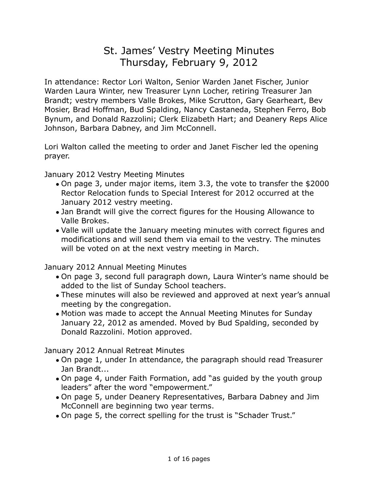# St. James' Vestry Meeting Minutes Thursday, February 9, 2012

In attendance: Rector Lori Walton, Senior Warden Janet Fischer, Junior Warden Laura Winter, new Treasurer Lynn Locher, retiring Treasurer Jan Brandt; vestry members Valle Brokes, Mike Scrutton, Gary Gearheart, Bev Mosier, Brad Hoffman, Bud Spalding, Nancy Castaneda, Stephen Ferro, Bob Bynum, and Donald Razzolini; Clerk Elizabeth Hart; and Deanery Reps Alice Johnson, Barbara Dabney, and Jim McConnell.

Lori Walton called the meeting to order and Janet Fischer led the opening prayer.

January 2012 Vestry Meeting Minutes

- On page 3, under major items, item 3.3, the vote to transfer the \$2000 Rector Relocation funds to Special Interest for 2012 occurred at the January 2012 vestry meeting.
- Jan Brandt will give the correct figures for the Housing Allowance to Valle Brokes.
- Valle will update the January meeting minutes with correct figures and modifications and will send them via email to the vestry. The minutes will be voted on at the next vestry meeting in March.

January 2012 Annual Meeting Minutes

- On page 3, second full paragraph down, Laura Winter's name should be added to the list of Sunday School teachers.
- These minutes will also be reviewed and approved at next year's annual meeting by the congregation.
- Motion was made to accept the Annual Meeting Minutes for Sunday January 22, 2012 as amended. Moved by Bud Spalding, seconded by Donald Razzolini. Motion approved.

January 2012 Annual Retreat Minutes

- On page 1, under In attendance, the paragraph should read Treasurer Jan Brandt...
- On page 4, under Faith Formation, add "as guided by the youth group leaders" after the word "empowerment."
- On page 5, under Deanery Representatives, Barbara Dabney and Jim McConnell are beginning two year terms.
- On page 5, the correct spelling for the trust is "Schader Trust."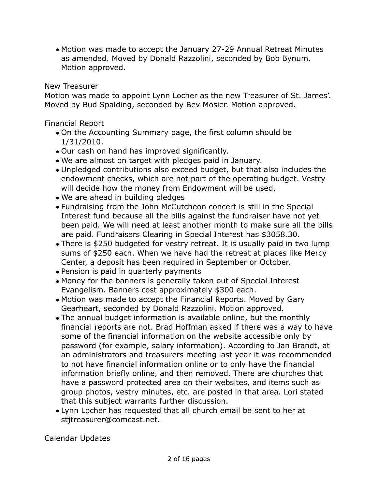• Motion was made to accept the January 27-29 Annual Retreat Minutes as amended. Moved by Donald Razzolini, seconded by Bob Bynum. Motion approved.

## New Treasurer

Motion was made to appoint Lynn Locher as the new Treasurer of St. James'. Moved by Bud Spalding, seconded by Bev Mosier. Motion approved.

Financial Report

- On the Accounting Summary page, the first column should be 1/31/2010.
- Our cash on hand has improved significantly.
- We are almost on target with pledges paid in January.
- Unpledged contributions also exceed budget, but that also includes the endowment checks, which are not part of the operating budget. Vestry will decide how the money from Endowment will be used.
- We are ahead in building pledges
- Fundraising from the John McCutcheon concert is still in the Special Interest fund because all the bills against the fundraiser have not yet been paid. We will need at least another month to make sure all the bills are paid. Fundraisers Clearing in Special Interest has \$3058.30.
- There is \$250 budgeted for vestry retreat. It is usually paid in two lump sums of \$250 each. When we have had the retreat at places like Mercy Center, a deposit has been required in September or October.
- Pension is paid in quarterly payments
- Money for the banners is generally taken out of Special Interest Evangelism. Banners cost approximately \$300 each.
- Motion was made to accept the Financial Reports. Moved by Gary Gearheart, seconded by Donald Razzolini. Motion approved.
- The annual budget information is available online, but the monthly financial reports are not. Brad Hoffman asked if there was a way to have some of the financial information on the website accessible only by password (for example, salary information). According to Jan Brandt, at an administrators and treasurers meeting last year it was recommended to not have financial information online or to only have the financial information briefly online, and then removed. There are churches that have a password protected area on their websites, and items such as group photos, vestry minutes, etc. are posted in that area. Lori stated that this subject warrants further discussion.
- Lynn Locher has requested that all church email be sent to her at stjtreasurer@comcast.net.

Calendar Updates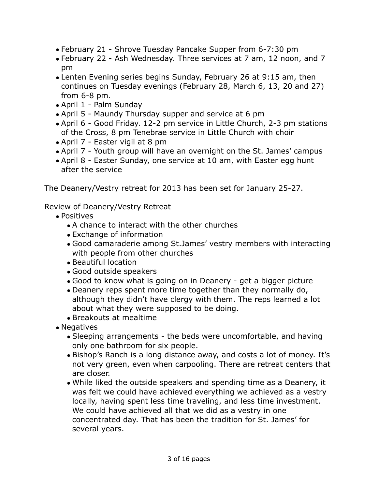- February 21 Shrove Tuesday Pancake Supper from 6-7:30 pm
- February 22 Ash Wednesday. Three services at 7 am, 12 noon, and 7 pm
- Lenten Evening series begins Sunday, February 26 at 9:15 am, then continues on Tuesday evenings (February 28, March 6, 13, 20 and 27) from 6-8 pm.
- April 1 Palm Sunday
- April 5 Maundy Thursday supper and service at 6 pm
- April 6 Good Friday. 12-2 pm service in Little Church, 2-3 pm stations of the Cross, 8 pm Tenebrae service in Little Church with choir
- April 7 Easter vigil at 8 pm
- April 7 Youth group will have an overnight on the St. James' campus
- April 8 Easter Sunday, one service at 10 am, with Easter egg hunt after the service

The Deanery/Vestry retreat for 2013 has been set for January 25-27.

## Review of Deanery/Vestry Retreat

- Positives
	- A chance to interact with the other churches
	- Exchange of information
	- Good camaraderie among St.James' vestry members with interacting with people from other churches
	- Beautiful location
	- Good outside speakers
	- Good to know what is going on in Deanery get a bigger picture
	- Deanery reps spent more time together than they normally do, although they didn't have clergy with them. The reps learned a lot about what they were supposed to be doing.
	- Breakouts at mealtime
- Negatives
	- Sleeping arrangements the beds were uncomfortable, and having only one bathroom for six people.
	- Bishop's Ranch is a long distance away, and costs a lot of money. It's not very green, even when carpooling. There are retreat centers that are closer.
	- While liked the outside speakers and spending time as a Deanery, it was felt we could have achieved everything we achieved as a vestry locally, having spent less time traveling, and less time investment. We could have achieved all that we did as a vestry in one concentrated day. That has been the tradition for St. James' for several years.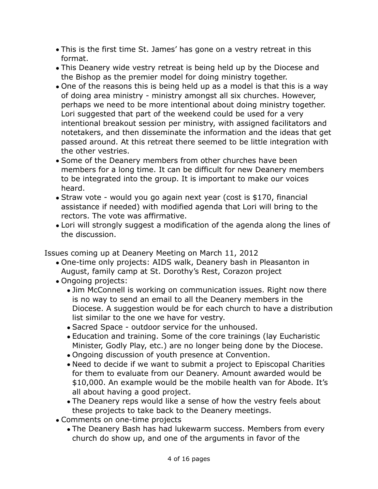- This is the first time St. James' has gone on a vestry retreat in this format.
- This Deanery wide vestry retreat is being held up by the Diocese and the Bishop as the premier model for doing ministry together.
- One of the reasons this is being held up as a model is that this is a way of doing area ministry - ministry amongst all six churches. However, perhaps we need to be more intentional about doing ministry together. Lori suggested that part of the weekend could be used for a very intentional breakout session per ministry, with assigned facilitators and notetakers, and then disseminate the information and the ideas that get passed around. At this retreat there seemed to be little integration with the other vestries.
- Some of the Deanery members from other churches have been members for a long time. It can be difficult for new Deanery members to be integrated into the group. It is important to make our voices heard.
- Straw vote would you go again next year (cost is \$170, financial assistance if needed) with modified agenda that Lori will bring to the rectors. The vote was affirmative.
- Lori will strongly suggest a modification of the agenda along the lines of the discussion.

Issues coming up at Deanery Meeting on March 11, 2012

- One-time only projects: AIDS walk, Deanery bash in Pleasanton in August, family camp at St. Dorothy's Rest, Corazon project
- Ongoing projects:
	- Jim McConnell is working on communication issues. Right now there is no way to send an email to all the Deanery members in the Diocese. A suggestion would be for each church to have a distribution list similar to the one we have for vestry.
	- Sacred Space outdoor service for the unhoused.
	- Education and training. Some of the core trainings (lay Eucharistic Minister, Godly Play, etc.) are no longer being done by the Diocese.
	- Ongoing discussion of youth presence at Convention.
	- Need to decide if we want to submit a project to Episcopal Charities for them to evaluate from our Deanery. Amount awarded would be \$10,000. An example would be the mobile health van for Abode. It's all about having a good project.
	- The Deanery reps would like a sense of how the vestry feels about these projects to take back to the Deanery meetings.
- Comments on one-time projects
	- The Deanery Bash has had lukewarm success. Members from every church do show up, and one of the arguments in favor of the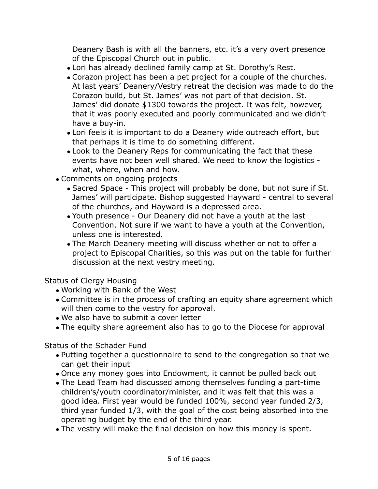Deanery Bash is with all the banners, etc. it's a very overt presence of the Episcopal Church out in public.

- Lori has already declined family camp at St. Dorothy's Rest.
- Corazon project has been a pet project for a couple of the churches. At last years' Deanery/Vestry retreat the decision was made to do the Corazon build, but St. James' was not part of that decision. St. James' did donate \$1300 towards the project. It was felt, however, that it was poorly executed and poorly communicated and we didn't have a buy-in.
- Lori feels it is important to do a Deanery wide outreach effort, but that perhaps it is time to do something different.
- Look to the Deanery Reps for communicating the fact that these events have not been well shared. We need to know the logistics what, where, when and how.
- Comments on ongoing projects
	- Sacred Space This project will probably be done, but not sure if St. James' will participate. Bishop suggested Hayward - central to several of the churches, and Hayward is a depressed area.
	- Youth presence Our Deanery did not have a youth at the last Convention. Not sure if we want to have a youth at the Convention, unless one is interested.
	- The March Deanery meeting will discuss whether or not to offer a project to Episcopal Charities, so this was put on the table for further discussion at the next vestry meeting.

Status of Clergy Housing

- Working with Bank of the West
- Committee is in the process of crafting an equity share agreement which will then come to the vestry for approval.
- We also have to submit a cover letter
- The equity share agreement also has to go to the Diocese for approval

Status of the Schader Fund

- Putting together a questionnaire to send to the congregation so that we can get their input
- Once any money goes into Endowment, it cannot be pulled back out
- The Lead Team had discussed among themselves funding a part-time children's/youth coordinator/minister, and it was felt that this was a good idea. First year would be funded 100%, second year funded 2/3, third year funded 1/3, with the goal of the cost being absorbed into the operating budget by the end of the third year.
- The vestry will make the final decision on how this money is spent.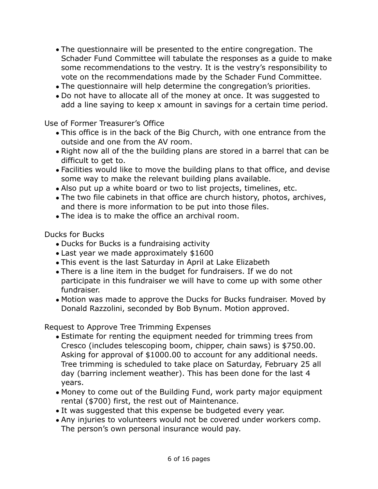- The questionnaire will be presented to the entire congregation. The Schader Fund Committee will tabulate the responses as a guide to make some recommendations to the vestry. It is the vestry's responsibility to vote on the recommendations made by the Schader Fund Committee.
- The questionnaire will help determine the congregation's priorities.
- Do not have to allocate all of the money at once. It was suggested to add a line saying to keep x amount in savings for a certain time period.

Use of Former Treasurer's Office

- This office is in the back of the Big Church, with one entrance from the outside and one from the AV room.
- Right now all of the the building plans are stored in a barrel that can be difficult to get to.
- Facilities would like to move the building plans to that office, and devise some way to make the relevant building plans available.
- Also put up a white board or two to list projects, timelines, etc.
- The two file cabinets in that office are church history, photos, archives, and there is more information to be put into those files.
- The idea is to make the office an archival room.

Ducks for Bucks

- Ducks for Bucks is a fundraising activity
- Last year we made approximately \$1600
- This event is the last Saturday in April at Lake Elizabeth
- There is a line item in the budget for fundraisers. If we do not participate in this fundraiser we will have to come up with some other fundraiser.
- Motion was made to approve the Ducks for Bucks fundraiser. Moved by Donald Razzolini, seconded by Bob Bynum. Motion approved.

Request to Approve Tree Trimming Expenses

- Estimate for renting the equipment needed for trimming trees from Cresco (includes telescoping boom, chipper, chain saws) is \$750.00. Asking for approval of \$1000.00 to account for any additional needs. Tree trimming is scheduled to take place on Saturday, February 25 all day (barring inclement weather). This has been done for the last 4 years.
- Money to come out of the Building Fund, work party major equipment rental (\$700) first, the rest out of Maintenance.
- It was suggested that this expense be budgeted every year.
- Any injuries to volunteers would not be covered under workers comp. The person's own personal insurance would pay.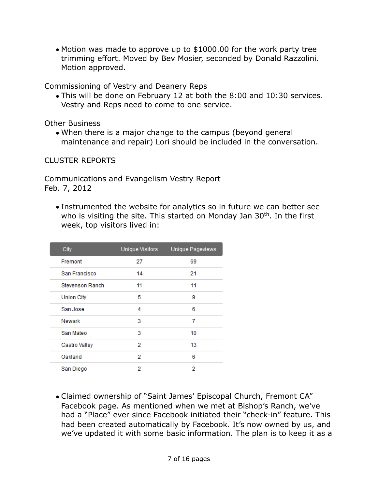• Motion was made to approve up to \$1000.00 for the work party tree trimming effort. Moved by Bev Mosier, seconded by Donald Razzolini. Motion approved.

Commissioning of Vestry and Deanery Reps

• This will be done on February 12 at both the 8:00 and 10:30 services. Vestry and Reps need to come to one service.

Other Business

• When there is a major change to the campus (beyond general maintenance and repair) Lori should be included in the conversation.

CLUSTER REPORTS

Communications and Evangelism Vestry Report Feb. 7, 2012

• Instrumented the website for analytics so in future we can better see who is visiting the site. This started on Monday Jan 30<sup>th</sup>. In the first week, top visitors lived in:

| City                   | Unique Visitors | Unique Pageviews |
|------------------------|-----------------|------------------|
| Fremont                | 27              | 69               |
| San Francisco          | 14              | 21               |
| <b>Stevenson Ranch</b> | 11              | 11               |
| <b>Union City</b>      | 5               | 9                |
| San Jose               | 4               | 6                |
| Newark                 | 3               | 7                |
| San Mateo              | 3               | 10               |
| Castro Valley          | 2               | 13               |
| Oakland                | 2               | 6                |
| San Diego              | 2               | 2                |

• Claimed ownership of "Saint James' Episcopal Church, Fremont CA" Facebook page. As mentioned when we met at Bishop's Ranch, we've had a "Place" ever since Facebook initiated their "check-in" feature. This had been created automatically by Facebook. It's now owned by us, and we've updated it with some basic information. The plan is to keep it as a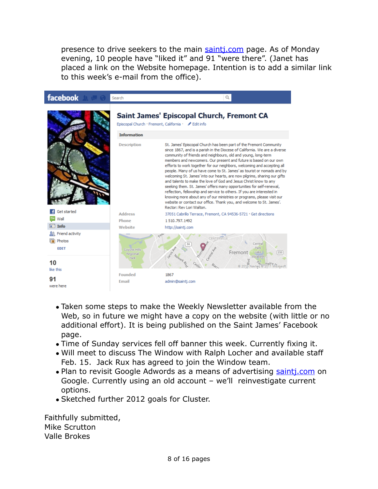presence to drive seekers to the main [saintj.com](http://saintj.com) page. As of Monday evening, 10 people have "liked it" and 91 "were there". (Janet has placed a link on the Website homepage. Intention is to add a similar link to this week's e-mail from the office).



- Taken some steps to make the Weekly Newsletter available from the Web, so in future we might have a copy on the website (with little or no additional effort). It is being published on the Saint James' Facebook page.
- Time of Sunday services fell off banner this week. Currently fixing it.
- Will meet to discuss The Window with Ralph Locher and available staff Feb. 15. Jack Rux has agreed to join the Window team.
- Plan to revisit Google Adwords as a means of advertising sainti.com on Google. Currently using an old account – we'll reinvestigate current options.
- Sketched further 2012 goals for Cluster.

Faithfully submitted, Mike Scrutton Valle Brokes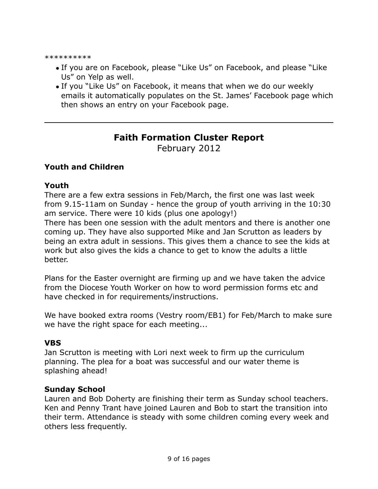\*\*\*\*\*\*\*\*\*\*

- If you are on Facebook, please "Like Us" on Facebook, and please "Like Us" on Yelp as well.
- If you "Like Us" on Facebook, it means that when we do our weekly emails it automatically populates on the St. James' Facebook page which then shows an entry on your Facebook page.

## **Faith Formation Cluster Report**

February 2012

## **Youth and Children**

#### **Youth**

There are a few extra sessions in Feb/March, the first one was last week from 9.15-11am on Sunday - hence the group of youth arriving in the 10:30 am service. There were 10 kids (plus one apology!)

There has been one session with the adult mentors and there is another one coming up. They have also supported Mike and Jan Scrutton as leaders by being an extra adult in sessions. This gives them a chance to see the kids at work but also gives the kids a chance to get to know the adults a little better.

Plans for the Easter overnight are firming up and we have taken the advice from the Diocese Youth Worker on how to word permission forms etc and have checked in for requirements/instructions.

We have booked extra rooms (Vestry room/EB1) for Feb/March to make sure we have the right space for each meeting...

#### **VBS**

Jan Scrutton is meeting with Lori next week to firm up the curriculum planning. The plea for a boat was successful and our water theme is splashing ahead!

#### **Sunday School**

Lauren and Bob Doherty are finishing their term as Sunday school teachers. Ken and Penny Trant have joined Lauren and Bob to start the transition into their term. Attendance is steady with some children coming every week and others less frequently.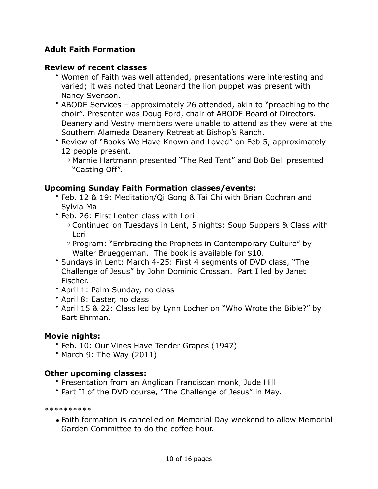## **Adult Faith Formation**

#### **Review of recent classes**

- Women of Faith was well attended, presentations were interesting and varied; it was noted that Leonard the lion puppet was present with Nancy Svenson.
- ABODE Services approximately 26 attended, akin to "preaching to the choir". Presenter was Doug Ford, chair of ABODE Board of Directors. Deanery and Vestry members were unable to attend as they were at the Southern Alameda Deanery Retreat at Bishop's Ranch.
- Review of "Books We Have Known and Loved" on Feb 5, approximately 12 people present.

## **Upcoming Sunday Faith Formation classes/events:**

- Feb. 12 & 19: Meditation/Qi Gong & Tai Chi with Brian Cochran and Sylvia Ma
- Feb. 26: First Lenten class with Lori
	- o Continued on Tuesdays in Lent, 5 nights: Soup Suppers & Class with Lori
	- o Program: "Embracing the Prophets in Contemporary Culture" by Walter Brueggeman. The book is available for \$10.
- Sundays in Lent: March 4-25: First 4 segments of DVD class, "The Challenge of Jesus" by John Dominic Crossan. Part I led by Janet Fischer.
- April 1: Palm Sunday, no class
- April 8: Easter, no class
- April 15 & 22: Class led by Lynn Locher on "Who Wrote the Bible?" by Bart Ehrman.

#### **Movie nights:**

- Feb. 10: Our Vines Have Tender Grapes (1947)
- March 9: The Way (2011)

## **Other upcoming classes:**

- Presentation from an Anglican Franciscan monk, Jude Hill
- Part II of the DVD course, "The Challenge of Jesus" in May.

\*\*\*\*\*\*\*\*\*\*

• Faith formation is cancelled on Memorial Day weekend to allow Memorial Garden Committee to do the coffee hour.

o Marnie Hartmann presented "The Red Tent" and Bob Bell presented "Casting Off".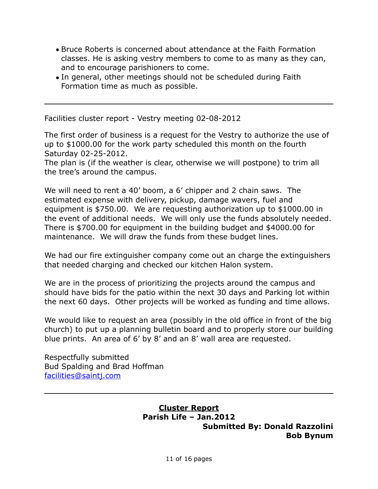- Bruce Roberts is concerned about attendance at the Faith Formation classes. He is asking vestry members to come to as many as they can, and to encourage parishioners to come.
- In general, other meetings should not be scheduled during Faith Formation time as much as possible.

Facilities cluster report - Vestry meeting 02-08-2012

The first order of business is a request for the Vestry to authorize the use of up to \$1000.00 for the work party scheduled this month on the fourth Saturday 02-25-2012.

The plan is (if the weather is clear, otherwise we will postpone) to trim all the tree's around the campus.

We will need to rent a 40' boom, a 6' chipper and 2 chain saws. The estimated expense with delivery, pickup, damage wavers, fuel and equipment is \$750.00. We are requesting authorization up to \$1000.00 in the event of additional needs. We will only use the funds absolutely needed. There is \$700.00 for equipment in the building budget and \$4000.00 for maintenance. We will draw the funds from these budget lines.

We had our fire extinguisher company come out an charge the extinguishers that needed charging and checked our kitchen Halon system.

We are in the process of prioritizing the projects around the campus and should have bids for the patio within the next 30 days and Parking lot within the next 60 days. Other projects will be worked as funding and time allows.

We would like to request an area (possibly in the old office in front of the big church) to put up a planning bulletin board and to properly store our building blue prints. An area of 6' by 8' and an 8' wall area are requested.

Respectfully submitted Bud Spalding and Brad Hoffman [facilities@saintj.com](mailto:facilities@saintj.com)

> **Cluster Report Parish Life – Jan.2012 Submitted By: Donald Razzolini Bob Bynum**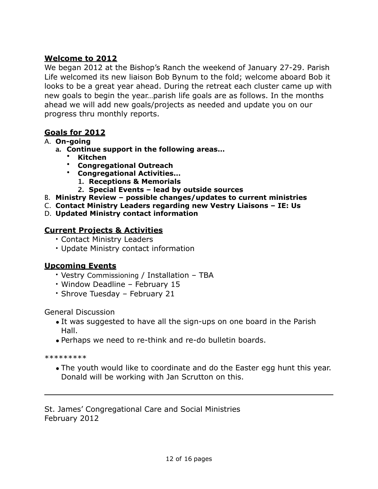## **Welcome to 2012**

We began 2012 at the Bishop's Ranch the weekend of January 27-29. Parish Life welcomed its new liaison Bob Bynum to the fold; welcome aboard Bob it looks to be a great year ahead. During the retreat each cluster came up with new goals to begin the year…parish life goals are as follows. In the months ahead we will add new goals/projects as needed and update you on our progress thru monthly reports.

#### **Goals for 2012**

#### A. **On-going**

- **a. Continue support in the following areas…**
	- **Kitchen**
	- **Congregational Outreach**
	- **Congregational Activities…**
		- **1. Receptions & Memorials**
		- **2. Special Events lead by outside sources**
- B. **Ministry Review possible changes/updates to current ministries**
- C. **Contact Ministry Leaders regarding new Vestry Liaisons IE: Us**
- D. **Updated Ministry contact information**

#### **Current Projects & Activities**

- Contact Ministry Leaders
- Update Ministry contact information

#### **Upcoming Events**

- Vestry Commissioning / Installation TBA
- Window Deadline February 15
- Shrove Tuesday February 21

#### General Discussion

- It was suggested to have all the sign-ups on one board in the Parish Hall.
- Perhaps we need to re-think and re-do bulletin boards.

\*\*\*\*\*\*\*\*\*

• The youth would like to coordinate and do the Easter egg hunt this year. Donald will be working with Jan Scrutton on this.

St. James' Congregational Care and Social Ministries February 2012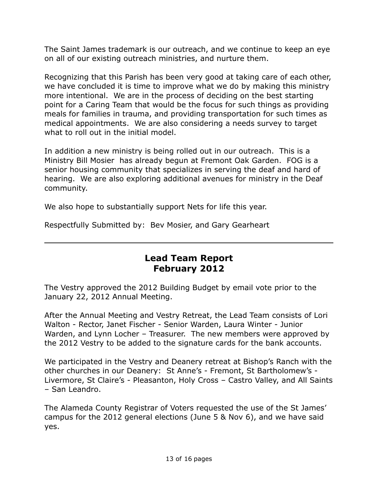The Saint James trademark is our outreach, and we continue to keep an eye on all of our existing outreach ministries, and nurture them.

Recognizing that this Parish has been very good at taking care of each other, we have concluded it is time to improve what we do by making this ministry more intentional. We are in the process of deciding on the best starting point for a Caring Team that would be the focus for such things as providing meals for families in trauma, and providing transportation for such times as medical appointments. We are also considering a needs survey to target what to roll out in the initial model.

In addition a new ministry is being rolled out in our outreach. This is a Ministry Bill Mosier has already begun at Fremont Oak Garden. FOG is a senior housing community that specializes in serving the deaf and hard of hearing. We are also exploring additional avenues for ministry in the Deaf community.

We also hope to substantially support Nets for life this year.

Respectfully Submitted by: Bev Mosier, and Gary Gearheart

## **Lead Team Report February 2012**

The Vestry approved the 2012 Building Budget by email vote prior to the January 22, 2012 Annual Meeting.

After the Annual Meeting and Vestry Retreat, the Lead Team consists of Lori Walton - Rector, Janet Fischer - Senior Warden, Laura Winter - Junior Warden, and Lynn Locher – Treasurer. The new members were approved by the 2012 Vestry to be added to the signature cards for the bank accounts.

We participated in the Vestry and Deanery retreat at Bishop's Ranch with the other churches in our Deanery: St Anne's - Fremont, St Bartholomew's - Livermore, St Claire's - Pleasanton, Holy Cross – Castro Valley, and All Saints – San Leandro.

The Alameda County Registrar of Voters requested the use of the St James' campus for the 2012 general elections (June 5 & Nov 6), and we have said yes.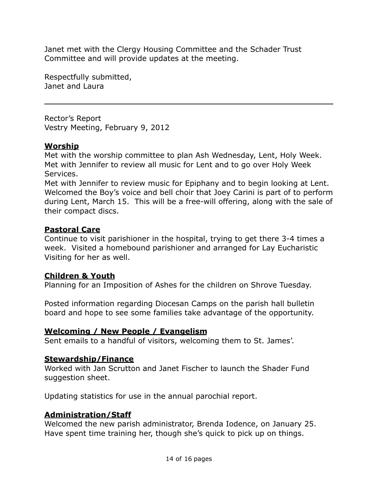Janet met with the Clergy Housing Committee and the Schader Trust Committee and will provide updates at the meeting.

Respectfully submitted, Janet and Laura

Rector's Report Vestry Meeting, February 9, 2012

#### **Worship**

Met with the worship committee to plan Ash Wednesday, Lent, Holy Week. Met with Jennifer to review all music for Lent and to go over Holy Week Services.

Met with Jennifer to review music for Epiphany and to begin looking at Lent. Welcomed the Boy's voice and bell choir that Joey Carini is part of to perform during Lent, March 15. This will be a free-will offering, along with the sale of their compact discs.

#### **Pastoral Care**

Continue to visit parishioner in the hospital, trying to get there 3-4 times a week. Visited a homebound parishioner and arranged for Lay Eucharistic Visiting for her as well.

#### **Children & Youth**

Planning for an Imposition of Ashes for the children on Shrove Tuesday.

Posted information regarding Diocesan Camps on the parish hall bulletin board and hope to see some families take advantage of the opportunity.

#### **Welcoming / New People / Evangelism**

Sent emails to a handful of visitors, welcoming them to St. James'.

#### **Stewardship/Finance**

Worked with Jan Scrutton and Janet Fischer to launch the Shader Fund suggestion sheet.

Updating statistics for use in the annual parochial report.

#### **Administration/Staff**

Welcomed the new parish administrator, Brenda Iodence, on January 25. Have spent time training her, though she's quick to pick up on things.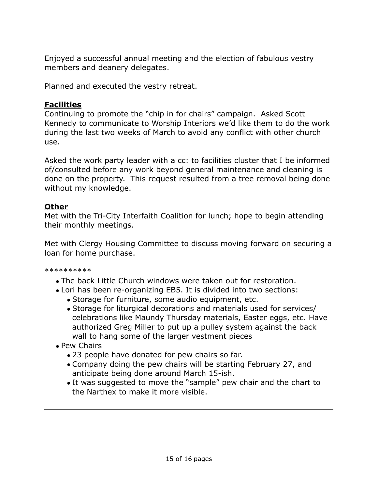Enjoyed a successful annual meeting and the election of fabulous vestry members and deanery delegates.

Planned and executed the vestry retreat.

### **Facilities**

Continuing to promote the "chip in for chairs" campaign. Asked Scott Kennedy to communicate to Worship Interiors we'd like them to do the work during the last two weeks of March to avoid any conflict with other church use.

Asked the work party leader with a cc: to facilities cluster that I be informed of/consulted before any work beyond general maintenance and cleaning is done on the property. This request resulted from a tree removal being done without my knowledge.

## **Other**

Met with the Tri-City Interfaith Coalition for lunch; hope to begin attending their monthly meetings.

Met with Clergy Housing Committee to discuss moving forward on securing a loan for home purchase.

\*\*\*\*\*\*\*\*\*\*

- The back Little Church windows were taken out for restoration.
- Lori has been re-organizing EB5. It is divided into two sections:
	- Storage for furniture, some audio equipment, etc.
	- Storage for liturgical decorations and materials used for services/ celebrations like Maundy Thursday materials, Easter eggs, etc. Have authorized Greg Miller to put up a pulley system against the back wall to hang some of the larger vestment pieces
- Pew Chairs
	- 23 people have donated for pew chairs so far.
	- Company doing the pew chairs will be starting February 27, and anticipate being done around March 15-ish.
	- It was suggested to move the "sample" pew chair and the chart to the Narthex to make it more visible.